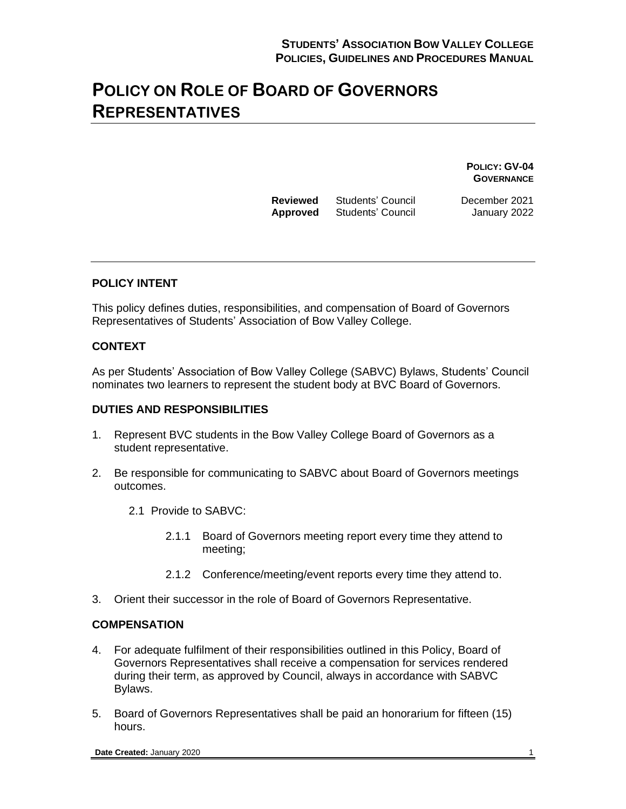## **POLICY ON ROLE OF BOARD OF GOVERNORS REPRESENTATIVES**

**POLICY: GV-04 GOVERNANCE**

| Reviewed | Students' Council |
|----------|-------------------|
| Approved | Students' Council |

**December 2021 January 2022** 

#### **POLICY INTENT**

This policy defines duties, responsibilities, and compensation of Board of Governors Representatives of Students' Association of Bow Valley College.

#### **CONTEXT**

As per Students' Association of Bow Valley College (SABVC) Bylaws, Students' Council nominates two learners to represent the student body at BVC Board of Governors.

#### **DUTIES AND RESPONSIBILITIES**

- 1. Represent BVC students in the Bow Valley College Board of Governors as a student representative.
- 2. Be responsible for communicating to SABVC about Board of Governors meetings outcomes.
	- 2.1 Provide to SABVC:
		- 2.1.1 Board of Governors meeting report every time they attend to meeting;
		- 2.1.2 Conference/meeting/event reports every time they attend to.
- 3. Orient their successor in the role of Board of Governors Representative.

#### **COMPENSATION**

- 4. For adequate fulfilment of their responsibilities outlined in this Policy, Board of Governors Representatives shall receive a compensation for services rendered during their term, as approved by Council, always in accordance with SABVC Bylaws.
- 5. Board of Governors Representatives shall be paid an honorarium for fifteen (15) hours.